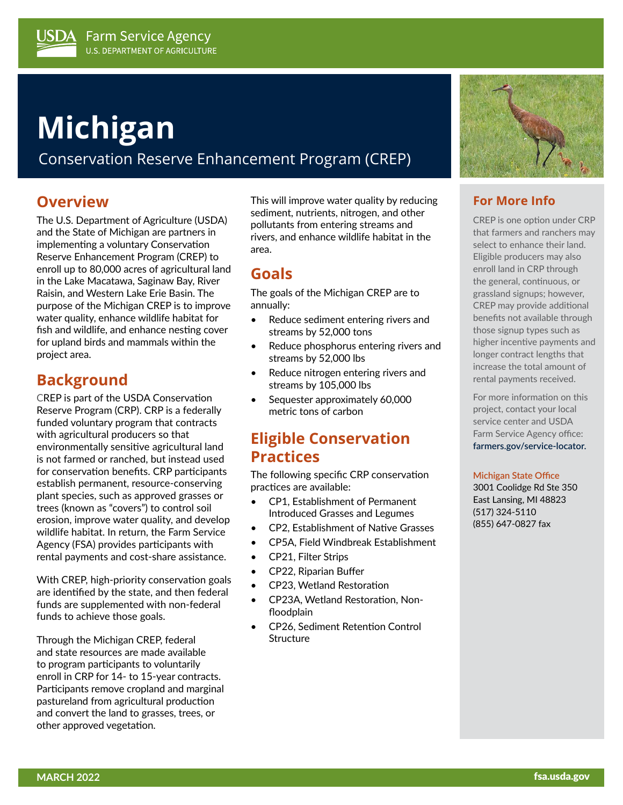# **Michigan**

Conservation Reserve Enhancement Program (CREP)

## **Overview**

The U.S. Department of Agriculture (USDA) and the State of Michigan are partners in implementing a voluntary Conservation Reserve Enhancement Program (CREP) to enroll up to 80,000 acres of agricultural land in the Lake Macatawa, Saginaw Bay, River Raisin, and Western Lake Erie Basin. The purpose of the Michigan CREP is to improve water quality, enhance wildlife habitat for fish and wildlife, and enhance nesting cover for upland birds and mammals within the project area.

## **Background**

CREP is part of the USDA Conservation Reserve Program (CRP). CRP is a federally funded voluntary program that contracts with agricultural producers so that environmentally sensitive agricultural land is not farmed or ranched, but instead used for conservation benefits. CRP participants establish permanent, resource-conserving plant species, such as approved grasses or trees (known as "covers") to control soil erosion, improve water quality, and develop wildlife habitat. In return, the Farm Service Agency (FSA) provides participants with rental payments and cost-share assistance.

With CREP, high-priority conservation goals are identified by the state, and then federal funds are supplemented with non-federal funds to achieve those goals.

Through the Michigan CREP, federal and state resources are made available to program participants to voluntarily enroll in CRP for 14- to 15-year contracts. Participants remove cropland and marginal pastureland from agricultural production and convert the land to grasses, trees, or other approved vegetation.

This will improve water quality by reducing sediment, nutrients, nitrogen, and other pollutants from entering streams and rivers, and enhance wildlife habitat in the area.

## **Goals**

The goals of the Michigan CREP are to annually:

- Reduce sediment entering rivers and streams by 52,000 tons
- Reduce phosphorus entering rivers and streams by 52,000 lbs
- Reduce nitrogen entering rivers and streams by 105,000 lbs
- Sequester approximately 60,000 metric tons of carbon

## **Eligible Conservation Practices**

The following specific CRP conservation practices are available:

- CP1, Establishment of Permanent Introduced Grasses and Legumes
- CP2, Establishment of Native Grasses
- CP5A, Field Windbreak Establishment
- CP21, Filter Strips
- CP22, Riparian Buffer
- CP23, Wetland Restoration
- CP23A, Wetland Restoration, Nonfloodplain
- CP26, Sediment Retention Control **Structure**



### **For More Info**

CREP is one option under CRP that farmers and ranchers may select to enhance their land. Eligible producers may also enroll land in CRP through the general, continuous, or grassland signups; however, CREP may provide additional benefits not available through those signup types such as higher incentive payments and longer contract lengths that increase the total amount of rental payments received.

For more information on this project, contact your local service center and USDA Farm Service Agency office: **[farmers.gov/service-locator](https://www.farmers.gov/working-with-us/service-center-locator).**

#### **Michigan State Office**

3001 Coolidge Rd Ste 350 East Lansing, MI 48823 (517) 324-5110 (855) 647-0827 fax